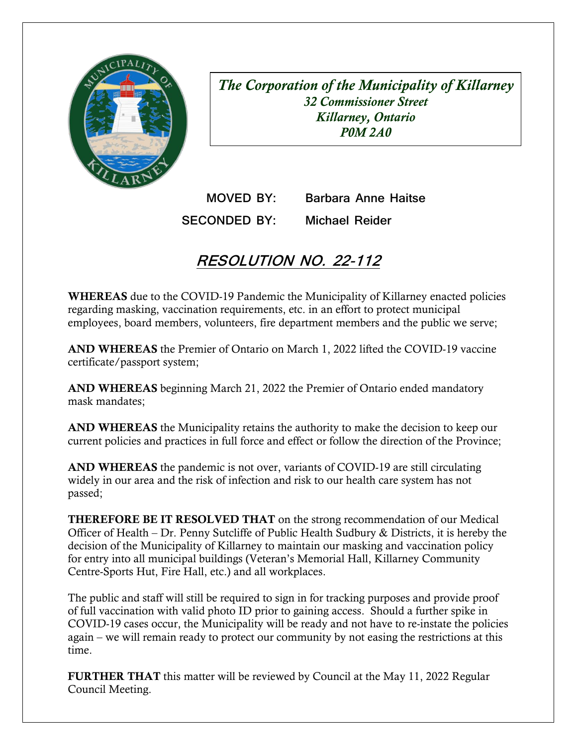

*The Corporation of the Municipality of Killarney 32 Commissioner Street Killarney, Ontario P0M 2A0* 

**MOVED BY: Barbara Anne Haitse SECONDED BY: Michael Reider** 

## **RESOLUTION NO. 22-112**

WHEREAS due to the COVID-19 Pandemic the Municipality of Killarney enacted policies regarding masking, vaccination requirements, etc. in an effort to protect municipal employees, board members, volunteers, fire department members and the public we serve;

AND WHEREAS the Premier of Ontario on March 1, 2022 lifted the COVID-19 vaccine certificate/passport system;

AND WHEREAS beginning March 21, 2022 the Premier of Ontario ended mandatory mask mandates;

 current policies and practices in full force and effect or follow the direction of the Province; AND WHEREAS the Municipality retains the authority to make the decision to keep our

 widely in our area and the risk of infection and risk to our health care system has not AND WHEREAS the pandemic is not over, variants of COVID-19 are still circulating passed;

THEREFORE BE IT RESOLVED THAT on the strong recommendation of our Medical decision of the Municipality of Killarney to maintain our masking and vaccination policy Officer of Health – Dr. Penny Sutcliffe of Public Health Sudbury & Districts, it is hereby the for entry into all municipal buildings (Veteran's Memorial Hall, Killarney Community Centre-Sports Hut, Fire Hall, etc.) and all workplaces.

 The public and staff will still be required to sign in for tracking purposes and provide proof of full vaccination with valid photo ID prior to gaining access. Should a further spike in again – we will remain ready to protect our community by not easing the restrictions at this COVID-19 cases occur, the Municipality will be ready and not have to re-instate the policies time.

FURTHER THAT this matter will be reviewed by Council at the May 11, 2022 Regular Council Meeting.